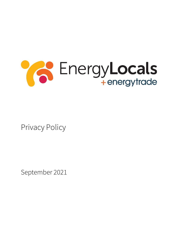

Privacy Policy

September 2021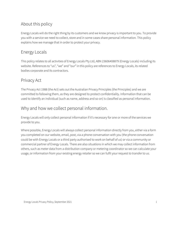# About this policy

Energy Locals will do the right thing by its customers and we know privacy is important to you. To provide you with a service we need to collect, store and in some cases share personal information. This policy explains how we manage that in order to protect your privacy.

## Energy Locals

This policy relates to all activities of Energy Locals Pty Ltd, ABN 23606408879 (Energy Locals) including its website. References to "us", "we" and "our" in this policy are references to Energy Locals, its related bodies corporate and its contractors.

### Privacy Act

The Privacy Act 1988 (the Act) sets out the Australian Privacy Principles (the Principles) and we are committed to following them, as they are designed to protect confidentiality. Information that can be used to identify an individual (such as name, address and so on) is classified as personal information.

### Why and how we collect personal information.

Energy Locals will only collect personal information if it's necessary for one or more of the services we provide to you.

Where possible, Energy Locals will always collect personal information directly from you, either via a form you completed on our website, email, post, via a phone conversation with you (the phone conversation could be with Energy Locals or a third party authorised to work on behalf of us) or via a community or commercial partner of Energy Locals. There are also situations in which we may collect information from others, such as meter data from a distribution company or metering coordinator so we can calculate your usage, or information from your existing energy retailer so we can fulfil your request to transfer to us.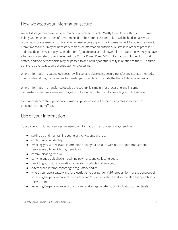### How we keep your information secure

We will store your information electronically wherever possible. Mostly this will be within our customer billing system. Where other information needs to be stored electronically, it will be held in passwordprotected storage areas and only staff who need access to personal information will be able to retrieve it. From time to time it may be necessary to transfer information outside of Australia in order to process it and provide our services to you. In addition, if you are on a Virtual Power Plan proposition where you have a battery and/or electric vehicle as part of a Virtual Power Plant (VPP), information obtained from that battery and/or electric vehicle may be passed to and held by another entity in relation to the VPP and/or transferred overseas to a subcontractor for processing.

Where information is passed overseas, it will also take place using secure transfer and storage methods. The countries it may be necessary to transfer personal data to include the United States of America.

Where information is transferred outside the country it is mainly for processing and in some circumstances for an overseas employee or sub-contractor to use it to provide you with a service.

If it is necessary to store personal information physically, it will be held using reasonable security precautions at our offices.

### Use of your information

To provide you with our services, we use your information in a number of ways, such as:

- setting up and maintaining your electricity supply with us;
- confirming your identity;
- emailing you with relevant information about your account with us, or about products and services we offer which may benefit you;
- communicating with you;
- carrying out credit checks, receiving payments and collecting debts;
- providing you with information on related products and services;
- external and internal reporting to regulatory bodies;
- where you have a battery and/or electric vehicle as part of a VPP proposition, for the purposes of assessing the performance of the battery and/or electric vehicle and for the efficient operation of the VPP; and
- assessing the performance of our business (at an aggregate, not individual customer, level).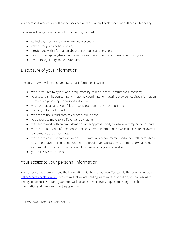Your personal information will not be disclosed outside Energy Locals except as outlined in this policy.

If you leave Energy Locals, your information may be used to:

- collect any money you may owe on your account;
- ask you for your feedback on us;
- provide you with information about our products and services;
- report, on an aggregate rather than individual basis, how our business is performing; or
- report to regulatory bodies as required.

# Disclosure of your information

The only time we will disclose your personal information is when:

- we are required to by law, or it is requested by Police or other Government authorities;
- your local distribution company, metering coordinator or metering provider requires information to maintain your supply or resolve a dispute;
- you have had a battery and/electric vehicle as part of a VPP proposition;
- we carry out a credit check;
- we need to use a third party to collect overdue debt;
- you choose to move to a different energy retailer;
- we need to work with an ombudsman or other approved body to resolve a complaint or dispute;
- we need to add your information to other customers' information so we can measure the overall performance of our business;
- we need to communicate with one of our community or commercial partners to tell them which customers have chosen to support them, to provide you with a service, to manage your account or to report on the performance of our business at an aggregate level; or
- you tell us we can do this.

### Your access to your personal information

You can ask us to share with you the information with hold about you. You can do this by emailing us at [hello@energylocals.com.au.](mailto:hello@energylocals.com.au) If you think that we are holding inaccurate information, you can ask us to change or delete it. We can't guarantee we'll be able to meet every request to change or delete information and if we can't, we'll explain why.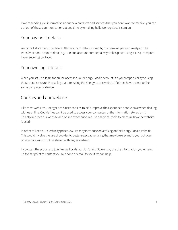If we're sending you information about new products and services that you don't want to receive, you can opt out of these communications at any time by emailing hello@energylocals.com.au.

#### Your payment details

We do not store credit card data. All credit card data is stored by our banking partner, Westpac. The transfer of bank account data (e.g. BSB and account number) always takes place using a TLS (Transport Layer Security) protocol.

#### Your own login details

When you set up a login for online access to your Energy Locals account, it's your responsibility to keep those details secure. Please log out after using the Energy Locals website if others have access to the same computer or device.

#### Cookies and our website

Like most websites, Energy Locals uses cookies to help improve the experience people have when dealing with us online. Cookie files can't be used to access your computer, or the information stored on it. To help improve our website and online experience, we use analytical tools to measure how the website is used.

In order to keep our electricity prices low, we may introduce advertising on the Energy Locals website. This would involve the use of cookies to better select advertising that may be relevant to you, but your private data would not be shared with any advertiser.

If you start the process to join Energy Locals but don't finish it, we may use the information you entered up to that point to contact you by phone or email to see if we can help.